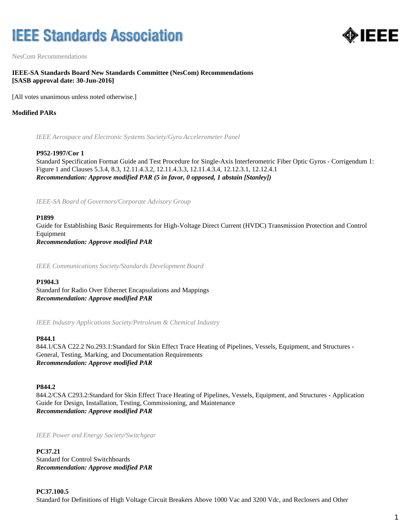# **IEEE Standards Association**



NesCom Recommendations

# **IEEE-SA Standards Board New Standards Committee (NesCom) Recommendations [SASB approval date: 30-Jun-2016]**

[All votes unanimous unless noted otherwise.]

# **Modified PARs**

*IEEE Aerospace and Electronic Systems Society/Gyro Accelerometer Panel*

#### **P952-1997/Cor 1**

Standard Specification Format Guide and Test Procedure for Single-Axis Interferometric Fiber Optic Gyros - Corrigendum 1: Figure 1 and Clauses 5.3.4, 8.3, 12.11.4.3.2, 12.11.4.3.3, 12.11.4.3.4, 12.12.3.1, 12.12.4.1 *Recommendation: Approve modified PAR (5 in favor, 0 opposed, 1 abstain [Stanley])*

*IEEE-SA Board of Governors/Corporate Advisory Group*

#### **P1899**

Guide for Establishing Basic Requirements for High-Voltage Direct Current (HVDC) Transmission Protection and Control Equipment *Recommendation: Approve modified PAR*

*IEEE Communications Society/Standards Development Board*

#### **P1904.3**

Standard for Radio Over Ethernet Encapsulations and Mappings *Recommendation: Approve modified PAR*

*IEEE Industry Applications Society/Petroleum & Chemical Industry*

#### **P844.1**

844.1/CSA C22.2 No.293.1:Standard for Skin Effect Trace Heating of Pipelines, Vessels, Equipment, and Structures - General, Testing, Marking, and Documentation Requirements *Recommendation: Approve modified PAR*

### **P844.2**

844.2/CSA C293.2:Standard for Skin Effect Trace Heating of Pipelines, Vessels, Equipment, and Structures - Application Guide for Design, Installation, Testing, Commissioning, and Maintenance *Recommendation: Approve modified PAR*

*IEEE Power and Energy Society/Switchgear*

#### **PC37.21**

Standard for Control Switchboards *Recommendation: Approve modified PAR*

#### **PC37.100.5**

Standard for Definitions of High Voltage Circuit Breakers Above 1000 Vac and 3200 Vdc, and Reclosers and Other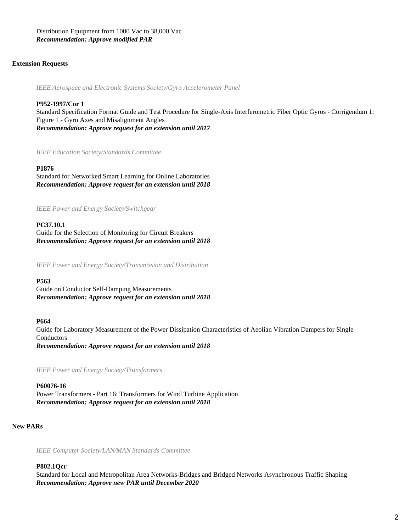Distribution Equipment from 1000 Vac to 38,000 Vac *Recommendation: Approve modified PAR*

## **Extension Requests**

*IEEE Aerospace and Electronic Systems Society/Gyro Accelerometer Panel*

# **P952-1997/Cor 1**

Standard Specification Format Guide and Test Procedure for Single-Axis Interferometric Fiber Optic Gyros - Corrigendum 1: Figure 1 - Gyro Axes and Misalignment Angles *Recommendation: Approve request for an extension until 2017*

*IEEE Education Society/Standards Committee*

#### **P1876**

Standard for Networked Smart Learning for Online Laboratories *Recommendation: Approve request for an extension until 2018*

*IEEE Power and Energy Society/Switchgear*

#### **PC37.10.1**

Guide for the Selection of Monitoring for Circuit Breakers *Recommendation: Approve request for an extension until 2018*

*IEEE Power and Energy Society/Transmission and Distribution*

### **P563**

Guide on Conductor Self-Damping Measurements *Recommendation: Approve request for an extension until 2018*

#### **P664**

Guide for Laboratory Measurement of the Power Dissipation Characteristics of Aeolian Vibration Dampers for Single Conductors *Recommendation: Approve request for an extension until 2018*

*IEEE Power and Energy Society/Transformers*

# **P60076-16** Power Transformers - Part 16: Transformers for Wind Turbine Application *Recommendation: Approve request for an extension until 2018*

# **New PARs**

*IEEE Computer Society/LAN/MAN Standards Committee*

#### **P802.1Qcr**

Standard for Local and Metropolitan Area Networks-Bridges and Bridged Networks Asynchronous Traffic Shaping *Recommendation: Approve new PAR until December 2020*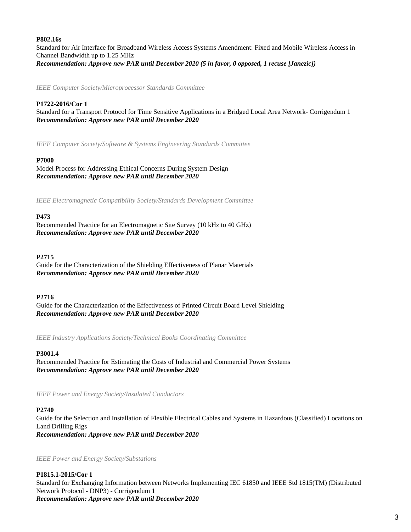## **P802.16s**

Standard for Air Interface for Broadband Wireless Access Systems Amendment: Fixed and Mobile Wireless Access in Channel Bandwidth up to 1.25 MHz *Recommendation: Approve new PAR until December 2020 (5 in favor, 0 opposed, 1 recuse [Janezic])*

*IEEE Computer Society/Microprocessor Standards Committee*

# **P1722-2016/Cor 1**

Standard for a Transport Protocol for Time Sensitive Applications in a Bridged Local Area Network- Corrigendum 1 *Recommendation: Approve new PAR until December 2020*

*IEEE Computer Society/Software & Systems Engineering Standards Committee*

## **P7000**

Model Process for Addressing Ethical Concerns During System Design *Recommendation: Approve new PAR until December 2020*

*IEEE Electromagnetic Compatibility Society/Standards Development Committee*

## **P473**

Recommended Practice for an Electromagnetic Site Survey (10 kHz to 40 GHz) *Recommendation: Approve new PAR until December 2020*

## **P2715**

Guide for the Characterization of the Shielding Effectiveness of Planar Materials *Recommendation: Approve new PAR until December 2020*

#### **P2716**

Guide for the Characterization of the Effectiveness of Printed Circuit Board Level Shielding *Recommendation: Approve new PAR until December 2020*

*IEEE Industry Applications Society/Technical Books Coordinating Committee*

#### **P3001.4**

Recommended Practice for Estimating the Costs of Industrial and Commercial Power Systems *Recommendation: Approve new PAR until December 2020*

*IEEE Power and Energy Society/Insulated Conductors*

# **P2740**

Guide for the Selection and Installation of Flexible Electrical Cables and Systems in Hazardous (Classified) Locations on Land Drilling Rigs *Recommendation: Approve new PAR until December 2020*

*IEEE Power and Energy Society/Substations*

# **P1815.1-2015/Cor 1**

Standard for Exchanging Information between Networks Implementing IEC 61850 and IEEE Std 1815(TM) (Distributed Network Protocol - DNP3) - Corrigendum 1 *Recommendation: Approve new PAR until December 2020*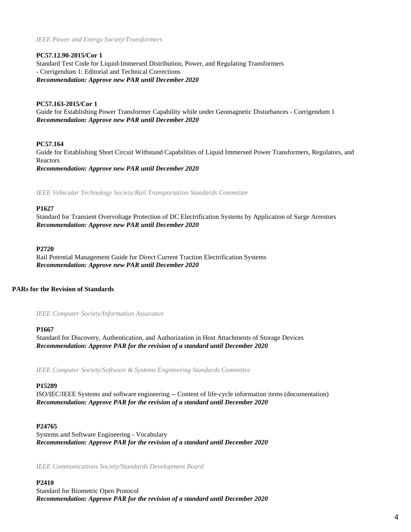*IEEE Power and Energy Society/Transformers*

## **PC57.12.90-2015/Cor 1**

Standard Test Code for Liquid-Immersed Distribution, Power, and Regulating Transformers - Corrigendum 1: Editorial and Technical Corrections *Recommendation: Approve new PAR until December 2020*

# **PC57.163-2015/Cor 1**

Guide for Establishing Power Transformer Capability while under Geomagnetic Disturbances - Corrigendum 1 *Recommendation: Approve new PAR until December 2020*

## **PC57.164**

Guide for Establishing Short Circuit Withstand Capabilities of Liquid Immersed Power Transformers, Regulators, and Reactors *Recommendation: Approve new PAR until December 2020*

*IEEE Vehicular Technology Society/Rail Transportation Standards Committee*

#### **P1627**

Standard for Transient Overvoltage Protection of DC Electrification Systems by Application of Surge Arrestors *Recommendation: Approve new PAR until December 2020*

#### **P2720**

Rail Potential Management Guide for Direct Current Traction Electrification Systems *Recommendation: Approve new PAR until December 2020*

## **PARs for the Revision of Standards**

*IEEE Computer Society/Information Assurance*

#### **P1667**

Standard for Discovery, Authentication, and Authorization in Host Attachments of Storage Devices *Recommendation: Approve PAR for the revision of a standard until December 2020*

*IEEE Computer Society/Software & Systems Engineering Standards Committee*

#### **P15289**

ISO/IEC/IEEE Systems and software engineering -- Content of life-cycle information items (documentation) *Recommendation: Approve PAR for the revision of a standard until December 2020*

## **P24765**

Systems and Software Engineering - Vocabulary *Recommendation: Approve PAR for the revision of a standard until December 2020*

*IEEE Communications Society/Standards Development Board*

**P2410** Standard for Biometric Open Protocol *Recommendation: Approve PAR for the revision of a standard until December 2020*